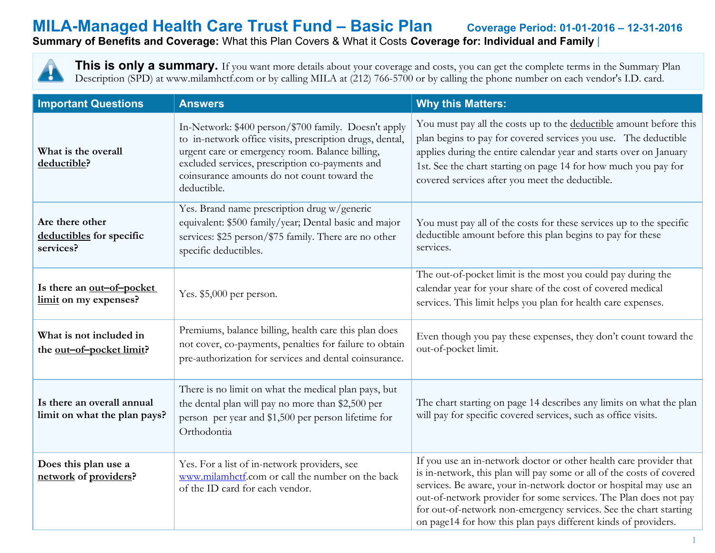### **MILA-Managed Health Care Trust Fund – Basic Plan Coverage Period: 01-01-2016 – 12-31-2016 Summary of Benefits and Coverage:** What this Plan Covers & What it Costs **Coverage for: Individual and Family** |

This is only a summary. If you want more details about your coverage and costs, you can get the complete terms in the Summary Plan Description (SPD) at www.milamhctf.com or by calling MILA at (212) 766-5700 or by calling the phone number on each vendor's I.D. card.

| <b>Important Questions</b>                                 | <b>Answers</b>                                                                                                                                                                                                                                                                       | <b>Why this Matters:</b>                                                                                                                                                                                                                                                                                                                                                                                                    |  |
|------------------------------------------------------------|--------------------------------------------------------------------------------------------------------------------------------------------------------------------------------------------------------------------------------------------------------------------------------------|-----------------------------------------------------------------------------------------------------------------------------------------------------------------------------------------------------------------------------------------------------------------------------------------------------------------------------------------------------------------------------------------------------------------------------|--|
| What is the overall<br>deductible?                         | In-Network: \$400 person/\$700 family. Doesn't apply<br>to in-network office visits, prescription drugs, dental,<br>urgent care or emergency room. Balance billing,<br>excluded services, prescription co-payments and<br>coinsurance amounts do not count toward the<br>deductible. | You must pay all the costs up to the deductible amount before this<br>plan begins to pay for covered services you use. The deductible<br>applies during the entire calendar year and starts over on January<br>1st. See the chart starting on page 14 for how much you pay for<br>covered services after you meet the deductible.                                                                                           |  |
| Are there other<br>deductibles for specific<br>services?   | Yes. Brand name prescription drug w/generic<br>equivalent: \$500 family/year; Dental basic and major<br>services: \$25 person/\$75 family. There are no other<br>specific deductibles.                                                                                               | You must pay all of the costs for these services up to the specific<br>deductible amount before this plan begins to pay for these<br>services.                                                                                                                                                                                                                                                                              |  |
| Is there an out-of-pocket<br>limit on my expenses?         | Yes. \$5,000 per person.                                                                                                                                                                                                                                                             | The out-of-pocket limit is the most you could pay during the<br>calendar year for your share of the cost of covered medical<br>services. This limit helps you plan for health care expenses.                                                                                                                                                                                                                                |  |
| What is not included in<br>the out-of-pocket limit?        | Premiums, balance billing, health care this plan does<br>not cover, co-payments, penalties for failure to obtain<br>pre-authorization for services and dental coinsurance.                                                                                                           | Even though you pay these expenses, they don't count toward the<br>out-of-pocket limit.                                                                                                                                                                                                                                                                                                                                     |  |
| Is there an overall annual<br>limit on what the plan pays? | There is no limit on what the medical plan pays, but<br>the dental plan will pay no more than \$2,500 per<br>person per year and \$1,500 per person lifetime for<br>Orthodontia                                                                                                      | The chart starting on page 14 describes any limits on what the plan<br>will pay for specific covered services, such as office visits.                                                                                                                                                                                                                                                                                       |  |
| Does this plan use a<br>network of providers?              | Yes. For a list of in-network providers, see<br>www.milamhctf.com or call the number on the back<br>of the ID card for each vendor.                                                                                                                                                  | If you use an in-network doctor or other health care provider that<br>is in-network, this plan will pay some or all of the costs of covered<br>services. Be aware, your in-network doctor or hospital may use an<br>out-of-network provider for some services. The Plan does not pay<br>for out-of-network non-emergency services. See the chart starting<br>on page14 for how this plan pays different kinds of providers. |  |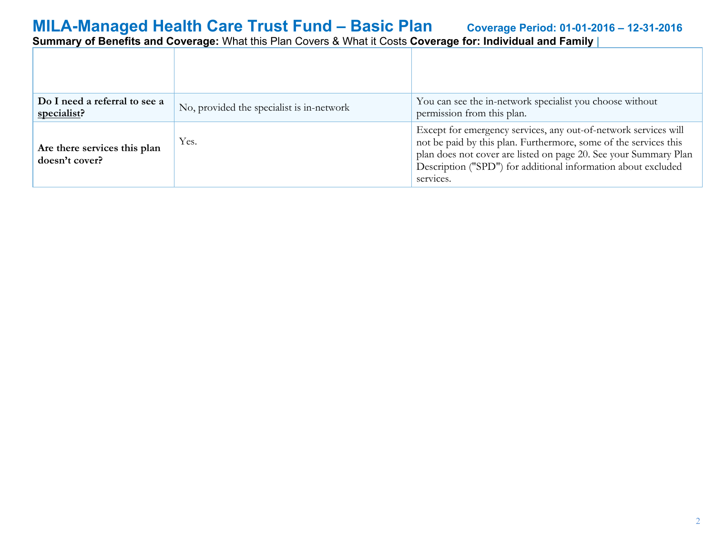| Do I need a referral to see a<br>specialist?   | No, provided the specialist is in-network | You can see the in-network specialist you choose without<br>permission from this plan.                                                                                                                                                                                                |
|------------------------------------------------|-------------------------------------------|---------------------------------------------------------------------------------------------------------------------------------------------------------------------------------------------------------------------------------------------------------------------------------------|
| Are there services this plan<br>doesn't cover? | Yes.                                      | Except for emergency services, any out-of-network services will<br>not be paid by this plan. Furthermore, some of the services this<br>plan does not cover are listed on page 20. See your Summary Plan<br>Description ("SPD") for additional information about excluded<br>services. |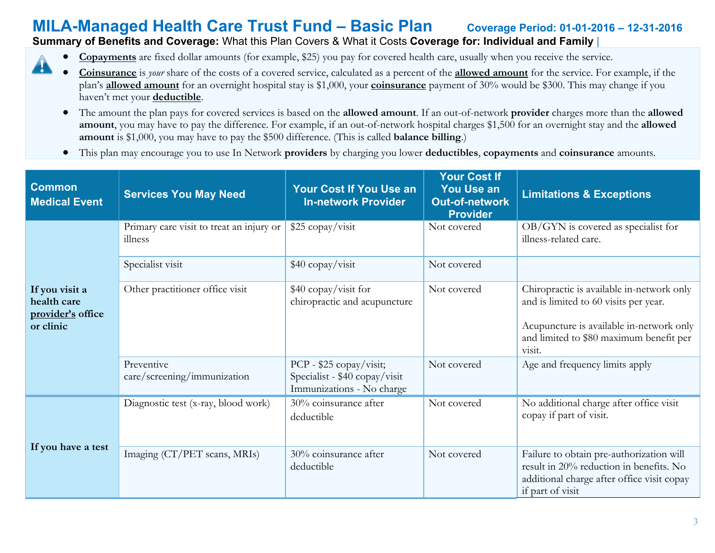#### **Summary of Benefits and Coverage:** What this Plan Covers & What it Costs **Coverage for: Individual and Family** |

48

- **Copayments** are fixed dollar amounts (for example, \$25) you pay for covered health care, usually when you receive the service.
- **Coinsurance** is *your* share of the costs of a covered service, calculated as a percent of the **allowed amount** for the service. For example, if the plan's **allowed amount** for an overnight hospital stay is \$1,000, your **coinsurance** payment of 30% would be \$300. This may change if you haven't met your **deductible**.
	- The amount the plan pays for covered services is based on the **allowed amount**. If an out-of-network **provider** charges more than the **allowed amount**, you may have to pay the difference. For example, if an out-of-network hospital charges \$1,500 for an overnight stay and the **allowed amount** is \$1,000, you may have to pay the \$500 difference. (This is called **balance billing**.)
	- This plan may encourage you to use In Network **providers** by charging you lower **deductibles**, **copayments** and **coinsurance** amounts.

| <b>Common</b><br><b>Medical Event</b>                           | <b>Services You May Need</b>                        | <b>Your Cost If You Use an</b><br><b>In-network Provider</b>                          | <b>Your Cost If</b><br><b>You Use an</b><br><b>Out-of-network</b><br><b>Provider</b> | <b>Limitations &amp; Exceptions</b>                                                                                                                                                 |
|-----------------------------------------------------------------|-----------------------------------------------------|---------------------------------------------------------------------------------------|--------------------------------------------------------------------------------------|-------------------------------------------------------------------------------------------------------------------------------------------------------------------------------------|
|                                                                 | Primary care visit to treat an injury or<br>illness | \$25 copay/visit                                                                      | Not covered                                                                          | OB/GYN is covered as specialist for<br>illness-related care.                                                                                                                        |
|                                                                 | Specialist visit                                    | \$40 copay/visit                                                                      | Not covered                                                                          |                                                                                                                                                                                     |
| If you visit a<br>health care<br>provider's office<br>or clinic | Other practitioner office visit                     | \$40 copay/visit for<br>chiropractic and acupuncture                                  | Not covered                                                                          | Chiropractic is available in-network only<br>and is limited to 60 visits per year.<br>Acupuncture is available in-network only<br>and limited to \$80 maximum benefit per<br>visit. |
|                                                                 | Preventive<br>care/screening/immunization           | PCP - \$25 copay/visit;<br>Specialist - \$40 copay/visit<br>Immunizations - No charge | Not covered                                                                          | Age and frequency limits apply                                                                                                                                                      |
|                                                                 | Diagnostic test (x-ray, blood work)                 | 30% coinsurance after<br>deductible                                                   | Not covered                                                                          | No additional charge after office visit<br>copay if part of visit.                                                                                                                  |
| If you have a test                                              | Imaging (CT/PET scans, MRIs)                        | 30% coinsurance after<br>deductible                                                   | Not covered                                                                          | Failure to obtain pre-authorization will<br>result in 20% reduction in benefits. No<br>additional charge after office visit copay<br>if part of visit                               |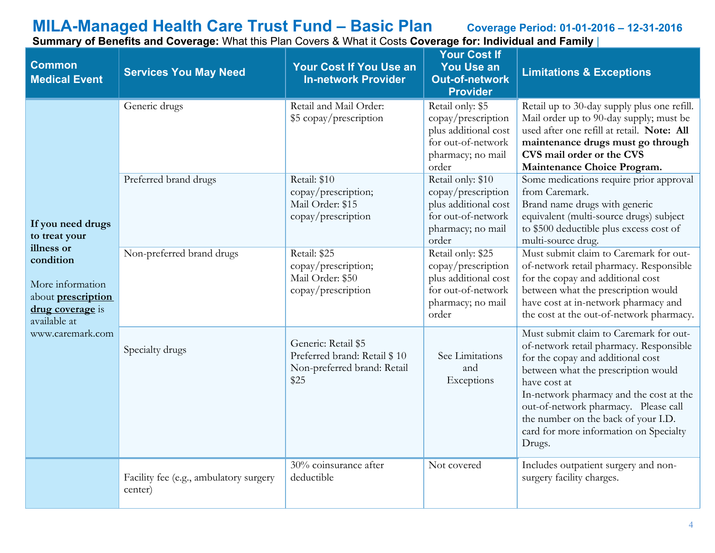**Common Medical Event Services You May Need Your Cost If You Use an In-network Provider Your Cost If You Use an Out-of-network Provider Limitations & Exceptions If you need drugs to treat your illness or condition** More information about **prescription drug coverage** is available at www.caremark.com Generic drugs Retail and Mail Order: \$5 copay/prescription Retail only: \$5 copay/prescription plus additional cost for out-of-network pharmacy; no mail order Retail up to 30-day supply plus one refill. Mail order up to 90-day supply; must be used after one refill at retail. **Note: All maintenance drugs must go through CVS mail order or the CVS Maintenance Choice Program.** Preferred brand drugs Retail: \$10 copay/prescription; Mail Order: \$15 copay/prescription Retail only: \$10 copay/prescription plus additional cost for out-of-network pharmacy; no mail order Some medications require prior approval from Caremark. Brand name drugs with generic equivalent (multi-source drugs) subject to \$500 deductible plus excess cost of multi-source drug. Non-preferred brand drugs Retail: \$25 copay/prescription; Mail Order: \$50 copay/prescription Retail only: \$25 copay/prescription plus additional cost for out-of-network pharmacy; no mail order Must submit claim to Caremark for outof-network retail pharmacy. Responsible for the copay and additional cost between what the prescription would have cost at in-network pharmacy and the cost at the out-of-network pharmacy. Specialty drugs Generic: Retail \$5 Preferred brand: Retail \$ 10 Non-preferred brand: Retail \$25 See Limitations and Exceptions Must submit claim to Caremark for outof-network retail pharmacy. Responsible for the copay and additional cost between what the prescription would have cost at In-network pharmacy and the cost at the out-of-network pharmacy. Please call the number on the back of your I.D. card for more information on Specialty Drugs. Facility fee (e.g., ambulatory surgery center) 30% coinsurance after deductible Not covered Includes outpatient surgery and nonsurgery facility charges.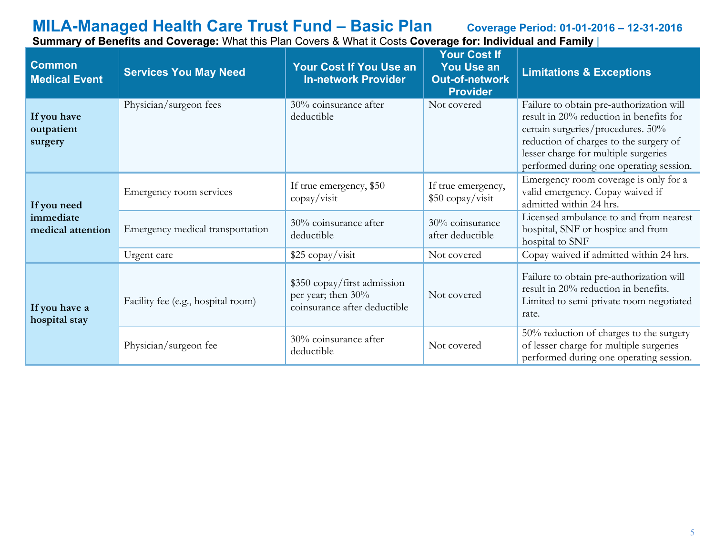**Common Medical Event Services You May Need Your Cost If You Use an In-network Provider Your Cost If You Use an Out-of-network Provider Limitations & Exceptions If you have outpatient surgery** Physician/surgeon fees 30% coinsurance after deductible Not covered Failure to obtain pre-authorization will result in 20% reduction in benefits for certain surgeries/procedures. 50% reduction of charges to the surgery of lesser charge for multiple surgeries performed during one operating session. **If you need immediate medical attention** Emergency room services If true emergency,  $$50$ copay/visit If true emergency, \$50 copay/visit Emergency room coverage is only for a valid emergency. Copay waived if admitted within 24 hrs. Emergency medical transportation  $\begin{array}{c|c} 30\% \text{ coinsurance after} \end{array}$ deductible 30% coinsurance after deductible Licensed ambulance to and from nearest hospital, SNF or hospice and from hospital to SNF Urgent care <br>
\$25 copay/visit Not covered Copay waived if admitted within 24 hrs. **If you have a hospital stay** Facility fee (e.g., hospital room) \$350 copay/first admission per year; then 30% coinsurance after deductible Not covered Failure to obtain pre-authorization will result in 20% reduction in benefits. Limited to semi-private room negotiated rate. Physician/surgeon fee  $30\%$  coinsurance after deductible Not covered 50% reduction of charges to the surgery of lesser charge for multiple surgeries performed during one operating session.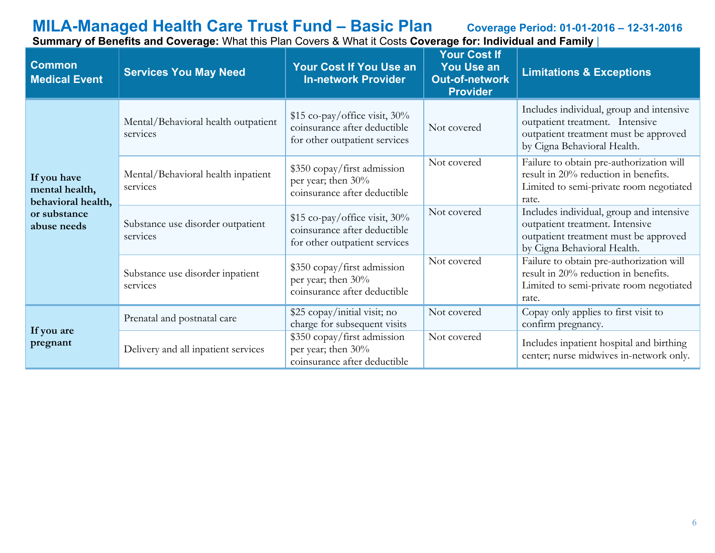**Common Medical Event Services You May Need Your Cost If You Use an In-network Provider Your Cost If You Use an Out-of-network Provider Limitations & Exceptions If you have mental health, behavioral health, or substance abuse needs** Mental/Behavioral health outpatient services \$15 co-pay/office visit,  $30\%$ coinsurance after deductible for other outpatient services Not covered Includes individual, group and intensive outpatient treatment. Intensive outpatient treatment must be approved by Cigna Behavioral Health. Mental/Behavioral health inpatient services \$350 copay/first admission per year; then 30% coinsurance after deductible Not covered Failure to obtain pre-authorization will result in 20% reduction in benefits. Limited to semi-private room negotiated rate. Substance use disorder outpatient services \$15 co-pay/office visit, 30% coinsurance after deductible for other outpatient services Not covered Includes individual, group and intensive outpatient treatment. Intensive outpatient treatment must be approved by Cigna Behavioral Health. Substance use disorder inpatient services \$350 copay/first admission per year; then 30% coinsurance after deductible Not covered Failure to obtain pre-authorization will result in 20% reduction in benefits. Limited to semi-private room negotiated rate. **If you are pregnant** Prenatal and postnatal care  $\frac{\$25 \text{ copay/initial visit; no}}{1-\$}$ charge for subsequent visits Not covered Copay only applies to first visit to confirm pregnancy. Delivery and all inpatient services \$350 copay/first admission per year; then 30% coinsurance after deductible Not covered Includes inpatient hospital and birthing center; nurse midwives in-network only.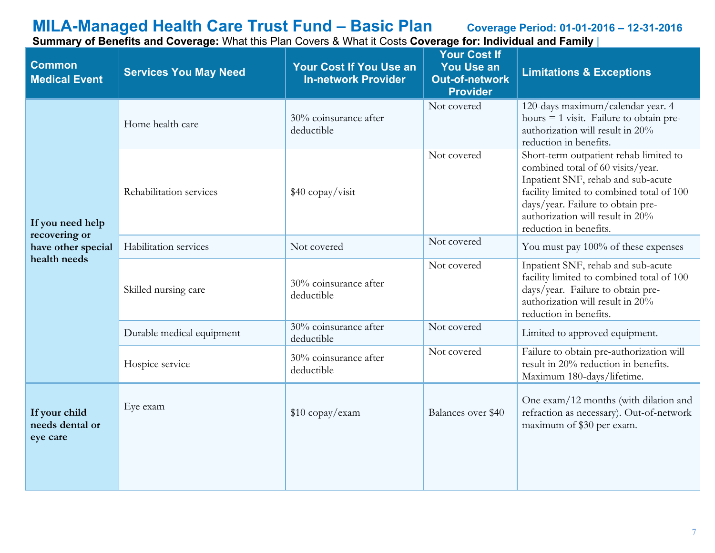| <b>Common</b><br><b>Medical Event</b>        | <b>Services You May Need</b> | <b>Your Cost If You Use an</b><br><b>In-network Provider</b> | <b>Your Cost If</b><br><b>You Use an</b><br><b>Out-of-network</b><br><b>Provider</b> | <b>Limitations &amp; Exceptions</b>                                                                                                                                                                                                                               |
|----------------------------------------------|------------------------------|--------------------------------------------------------------|--------------------------------------------------------------------------------------|-------------------------------------------------------------------------------------------------------------------------------------------------------------------------------------------------------------------------------------------------------------------|
|                                              | Home health care             | 30% coinsurance after<br>deductible                          | Not covered                                                                          | 120-days maximum/calendar year. 4<br>hours $=$ 1 visit. Failure to obtain pre-<br>authorization will result in 20%<br>reduction in benefits.                                                                                                                      |
| If you need help<br>recovering or            | Rehabilitation services      | \$40 copay/visit                                             | Not covered                                                                          | Short-term outpatient rehab limited to<br>combined total of 60 visits/year.<br>Inpatient SNF, rehab and sub-acute<br>facility limited to combined total of 100<br>days/year. Failure to obtain pre-<br>authorization will result in 20%<br>reduction in benefits. |
| have other special                           | Habilitation services        | Not covered                                                  | Not covered                                                                          | You must pay 100% of these expenses                                                                                                                                                                                                                               |
| health needs                                 | Skilled nursing care         | 30% coinsurance after<br>deductible                          | Not covered                                                                          | Inpatient SNF, rehab and sub-acute<br>facility limited to combined total of 100<br>days/year. Failure to obtain pre-<br>authorization will result in 20%<br>reduction in benefits.                                                                                |
|                                              | Durable medical equipment    | $30\%$ coinsurance after<br>deductible                       | Not covered                                                                          | Limited to approved equipment.                                                                                                                                                                                                                                    |
|                                              | Hospice service              | 30% coinsurance after<br>deductible                          | Not covered                                                                          | Failure to obtain pre-authorization will<br>result in 20% reduction in benefits.<br>Maximum 180-days/lifetime.                                                                                                                                                    |
| If your child<br>needs dental or<br>eye care | Eye exam                     | \$10 copay/exam                                              | Balances over \$40                                                                   | One exam/12 months (with dilation and<br>refraction as necessary). Out-of-network<br>maximum of \$30 per exam.                                                                                                                                                    |
|                                              |                              |                                                              |                                                                                      |                                                                                                                                                                                                                                                                   |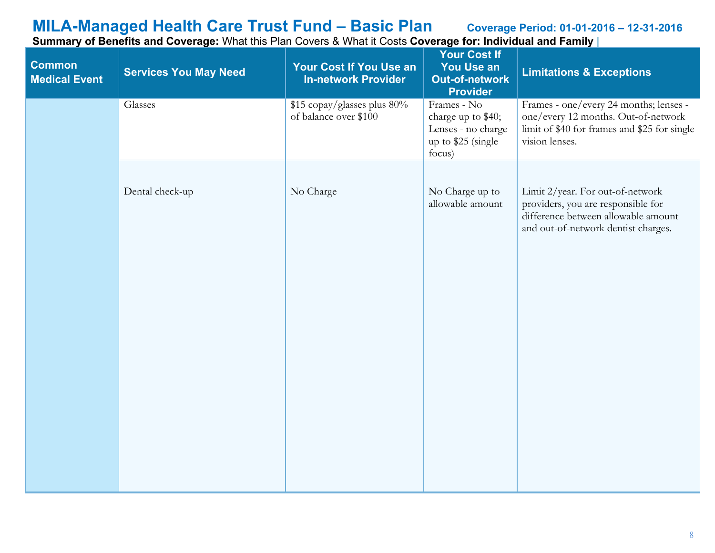| Glasses<br>\$15 copay/glasses plus 80%<br>Frames - No<br>of balance over \$100<br>charge up to \$40;<br>Lenses - no charge<br>up to \$25 (single<br>vision lenses.<br>focus)<br>Dental check-up<br>No Charge<br>No Charge up to<br>Limit 2/year. For out-of-network<br>allowable amount<br>providers, you are responsible for<br>difference between allowable amount | <b>Common</b><br><b>Medical Event</b> | <b>Services You May Need</b> | <b>Your Cost If You Use an</b><br><b>In-network Provider</b> | <b>Your Cost If</b><br><b>You Use an</b><br><b>Out-of-network</b><br><b>Provider</b> | <b>Limitations &amp; Exceptions</b>                                                                                           |
|----------------------------------------------------------------------------------------------------------------------------------------------------------------------------------------------------------------------------------------------------------------------------------------------------------------------------------------------------------------------|---------------------------------------|------------------------------|--------------------------------------------------------------|--------------------------------------------------------------------------------------|-------------------------------------------------------------------------------------------------------------------------------|
|                                                                                                                                                                                                                                                                                                                                                                      |                                       |                              |                                                              |                                                                                      | Frames - one/every 24 months; lenses -<br>one/every 12 months. Out-of-network<br>limit of \$40 for frames and \$25 for single |
|                                                                                                                                                                                                                                                                                                                                                                      |                                       |                              |                                                              |                                                                                      | and out-of-network dentist charges.                                                                                           |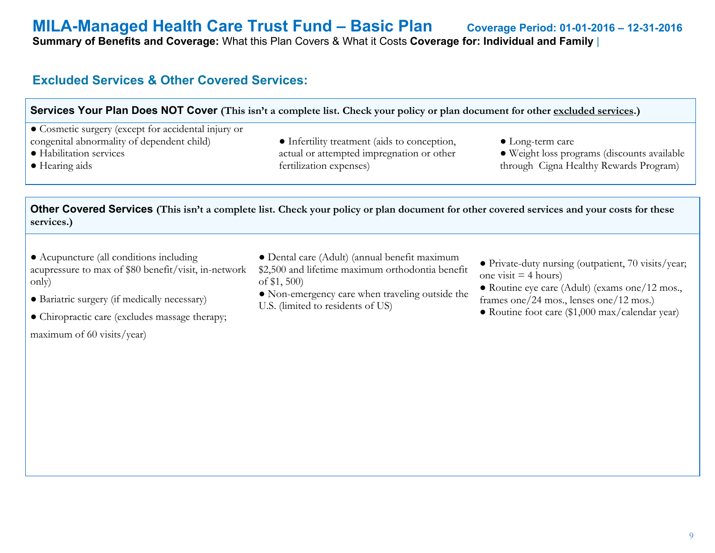**Summary of Benefits and Coverage:** What this Plan Covers & What it Costs **Coverage for: Individual and Family** |

### **Excluded Services & Other Covered Services:**

#### **Services Your Plan Does NOT Cover** (This isn't a complete list. Check your policy or plan document for other excluded services.)

● Cosmetic surgery (except for accidental injury or congenital abnormality of dependent child)

- Habilitation services
- Hearing aids
- Infertility treatment (aids to conception, actual or attempted impregnation or other fertilization expenses)
- Long-term care
- Weight loss programs (discounts available through Cigna Healthy Rewards Program)

**Other Covered Services (This isn't a complete list. Check your policy or plan document for other covered services and your costs for these services.)**

● Acupuncture (all conditions including acupressure to max of \$80 benefit/visit, in-network only)

● Dental care (Adult) (annual benefit maximum \$2,500 and lifetime maximum orthodontia benefit of \$1, 500)

- Bariatric surgery (if medically necessary)
- Chiropractic care (excludes massage therapy;

maximum of 60 visits/year)

- Non-emergency care when traveling outside the U.S. (limited to residents of US)
- Private-duty nursing (outpatient, 70 visits/year; one visit  $=$  4 hours)
- Routine eye care (Adult) (exams one/12 mos., frames one/24 mos., lenses one/12 mos.)
- Routine foot care (\$1,000 max/calendar year)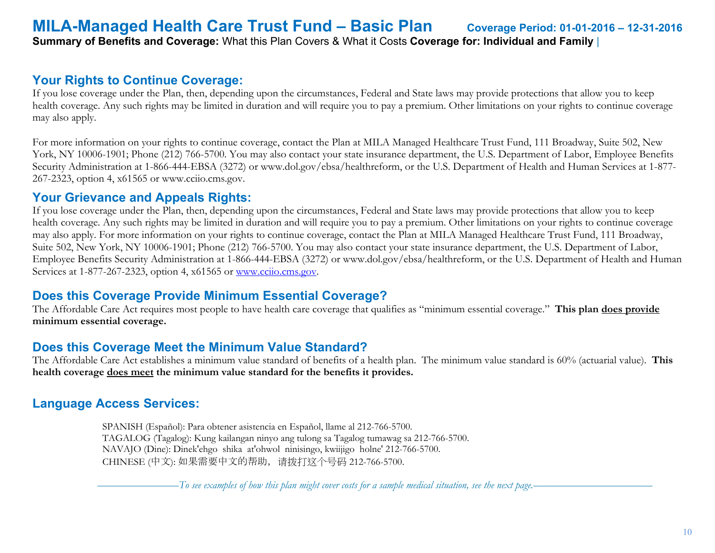### **MILA-Managed Health Care Trust Fund – Basic Plan Coverage Period: 01-01-2016 – 12-31-2016 Summary of Benefits and Coverage:** What this Plan Covers & What it Costs **Coverage for: Individual and Family** |

#### **Your Rights to Continue Coverage:**

If you lose coverage under the Plan, then, depending upon the circumstances, Federal and State laws may provide protections that allow you to keep health coverage. Any such rights may be limited in duration and will require you to pay a premium. Other limitations on your rights to continue coverage may also apply.

For more information on your rights to continue coverage, contact the Plan at MILA Managed Healthcare Trust Fund, 111 Broadway, Suite 502, New York, NY 10006-1901; Phone (212) 766-5700. You may also contact your state insurance department, the U.S. Department of Labor, Employee Benefits Security Administration at 1-866-444-EBSA (3272) or www.dol.gov/ebsa/healthreform, or the U.S. Department of Health and Human Services at 1-877- 267-2323, option 4, x61565 or www.cciio.cms.gov.

#### **Your Grievance and Appeals Rights:**

If you lose coverage under the Plan, then, depending upon the circumstances, Federal and State laws may provide protections that allow you to keep health coverage. Any such rights may be limited in duration and will require you to pay a premium. Other limitations on your rights to continue coverage may also apply. For more information on your rights to continue coverage, contact the Plan at MILA Managed Healthcare Trust Fund, 111 Broadway, Suite 502, New York, NY 10006-1901; Phone (212) 766-5700. You may also contact your state insurance department, the U.S. Department of Labor, Employee Benefits Security Administration at 1-866-444-EBSA (3272) or www.dol.gov/ebsa/healthreform, or the U.S. Department of Health and Human Services at 1-877-267-2323, option 4, x61565 or [www.cciio.cms.gov.](http://www.cciio.cms.gov/)

### **Does this Coverage Provide Minimum Essential Coverage?**

The Affordable Care Act requires most people to have health care coverage that qualifies as "minimum essential coverage." **This plan does provide minimum essential coverage.** 

### **Does this Coverage Meet the Minimum Value Standard?**

The Affordable Care Act establishes a minimum value standard of benefits of a health plan. The minimum value standard is 60% (actuarial value). **This health coverage does meet the minimum value standard for the benefits it provides.** 

### **Language Access Services:**

 SPANISH (Español): Para obtener asistencia en Español, llame al 212-766-5700. TAGALOG (Tagalog): Kung kailangan ninyo ang tulong sa Tagalog tumawag sa 212-766-5700. NAVAJO (Dine): Dinek'ehgo shika at'ohwol ninisingo, kwiijigo holne' 212-766-5700. CHINESE (中文): 如果需要中文的帮助,请拨打这个号码 212-766-5700.

–––––––––––––––*To see examples of how this plan might cover costs for a sample medical situation, see the next page.–––––––––––*–––––––––––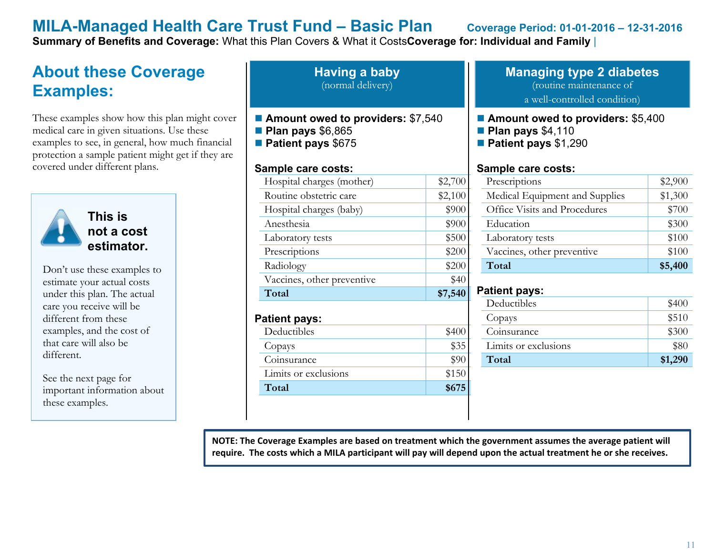**Summary of Benefits and Coverage:** What this Plan Covers & What it Costs**Coverage for: Individual and Family** |

# **About these Coverage Examples:**

These examples show how this plan might cover medical care in given situations. Use these examples to see, in general, how much financial protection a sample patient might get if they are covered under different plans.



**This is not a cost estimator.** 

Don't use these examples to estimate your actual costs under this plan. The actual care you receive will be different from these examples, and the cost of that care will also be different.

See the next page for important information about these examples.

**Having a baby** (normal delivery)

- **Amount owed to providers:** \$7,540
- **Plan pays** \$6,865
- **Patient pays** \$675

#### **Sample care costs:**

| Hospital charges (mother)  | \$2,700 |
|----------------------------|---------|
| Routine obstetric care     | \$2,100 |
| Hospital charges (baby)    | \$900   |
| Anesthesia                 | \$900   |
| Laboratory tests           | \$500   |
| Prescriptions              | \$200   |
| Radiology                  | \$200   |
| Vaccines, other preventive | \$40    |
| Total                      | \$7,540 |
| Patient pays:              |         |
| Deductibles                |         |

Copays \$35 Coinsurance  $\qquad$  \$90 Limits or exclusions \$150 **Total \$675** 

#### **Managing type 2 diabetes** (routine maintenance of a well-controlled condition)

#### ■ **Amount owed to providers: \$5,400**

- **Plan pays** \$4,110
- **Patient pays** \$1,290

#### **Sample care costs:**

| Prescriptions                  | \$2,900 |
|--------------------------------|---------|
| Medical Equipment and Supplies | \$1,300 |
| Office Visits and Procedures   | \$700   |
| Education                      | \$300   |
| Laboratory tests               | \$100   |
| Vaccines, other preventive     | \$100   |
| Total                          | \$5,400 |

#### **Patient pays:**

|                 | \$300<br>Coinsurance | Limits or exclusions<br>Total | \$80<br>\$1,290 |
|-----------------|----------------------|-------------------------------|-----------------|
|                 |                      |                               |                 |
| \$510<br>Copays |                      | Deductibles                   | \$400           |

**NOTE: The Coverage Examples are based on treatment which the government assumes the average patient will require. The costs which a MILA participant will pay will depend upon the actual treatment he or she receives.**